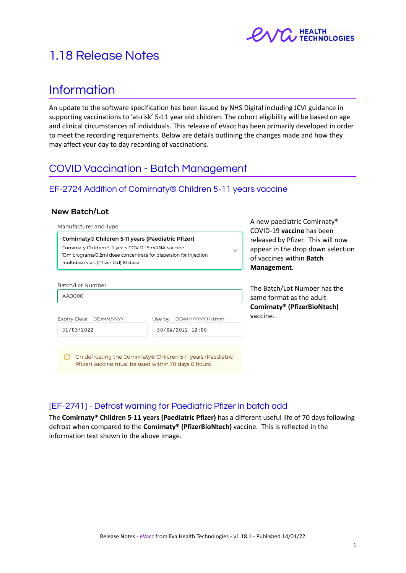

# 1.18 Release Notes

# Information

An update to the software specification has been issued by NHS Digital including JCVI guidance in supporting vaccinations to 'at-risk' 5-11 year old children. The cohort eligibility will be based on age and clinical circumstances of individuals. This release of eVacc has been primarily developed in order to meet the recording requirements. Below are details outlining the changes made and how they may affect your day to day recording of vaccinations.

# COVID Vaccination - Batch Management

## EF-2724 Addition of Comirnaty® Children 5-11 years vaccine

#### **New Batch/Lot**

Manufacturer and Type

Comirnaty® Children 5-11 years (Paediatric Pfizer) Comirnaty Children 5-11 years COVID-19 mRNA Vaccine 10micrograms/0.2ml dose concentrate for dispersion for injection multidose vials (Pfizer Ltd) 10 dose

Batch/Lot Number AA0000 Expiry Date DD/MM/YYYY Use by DD/MM/YYYY HH:mm 31/03/2022 30/04/2022 12:00 (1) On defrosting the Comirnaty® Children 5-11 years (Paediatric

Pfizer) vaccine must be used within 70 days 0 hours

COVID-19 **vaccine** has been released by Pfizer. This will now appear in the drop down selection of vaccines within **Batch Management**.

A new paediatric Comirnaty®

The Batch/Lot Number has the same format as the adult **Comirnaty® (PfizerBioNtech)** vaccine.

## [EF-2741] - Defrost warning for Paediatric Pfizer in batch add

The **Comirnaty® Children 5-11 years (Paediatric Pfizer)** has a different useful life of 70 days following defrost when compared to the **Comirnaty® (PfizerBioNtech)** vaccine. This is reflected in the information text shown in the above image.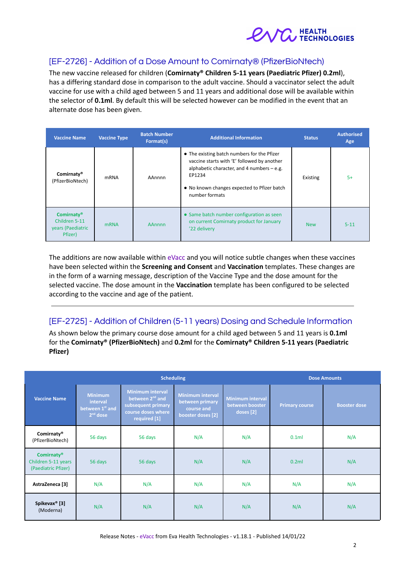

## [EF-2726] - Addition of a Dose Amount to Comirnaty® (PfizerBioNtech)

The new vaccine released for children (**Comirnaty® Children 5-11 years (Paediatric Pfizer) 0.2ml**), has a differing standard dose in comparison to the adult vaccine. Should a vaccinator select the adult vaccine for use with a child aged between 5 and 11 years and additional dose will be available within the selector of **0.1ml**. By default this will be selected however can be modified in the event that an alternate dose has been given.

| <b>Vaccine Name</b>                                                | <b>Vaccine Type</b> | <b>Batch Number</b><br>Format(s) | <b>Additional Information</b>                                                                                                                                                                                         | <b>Status</b> | <b>Authorised</b><br>Age |
|--------------------------------------------------------------------|---------------------|----------------------------------|-----------------------------------------------------------------------------------------------------------------------------------------------------------------------------------------------------------------------|---------------|--------------------------|
| Comirnaty®<br>(PfizerBioNtech)                                     | <b>mRNA</b>         | AAnnnn                           | • The existing batch numbers for the Pfizer<br>vaccine starts with 'E' followed by another<br>alphabetic character, and 4 numbers $-$ e.g.<br>EP1234<br>• No known changes expected to Pfizer batch<br>number formats | Existing      | $5+$                     |
| <b>Comirnaty®</b><br>Children 5-11<br>years (Paediatric<br>Pfizer) | <b>mRNA</b>         | <b>AAnnnn</b>                    | • Same batch number configuration as seen<br>on current Comirnaty product for January<br>'22 delivery                                                                                                                 | <b>New</b>    | $5 - 11$                 |

The additions are now available within eVacc and you will notice subtle changes when these vaccines have been selected within the **Screening and Consent** and **Vaccination** templates. These changes are in the form of a warning message, description of the Vaccine Type and the dose amount for the selected vaccine. The dose amount in the **Vaccination** template has been configured to be selected according to the vaccine and age of the patient.

## [EF-2725] - Addition of Children (5-11 years) Dosing and Schedule Information

As shown below the primary course dose amount for a child aged between 5 and 11 years is **0.1ml** for the **Comirnaty® (PfizerBioNtech)** and **0.2ml** for the **Comirnaty® Children 5-11 years (Paediatric Pfizer)**

| <b>Scheduling</b>                                                           |                                                             |                                                                                                                    |                                                                               | <b>Dose Amounts</b>                                     |                       |                     |
|-----------------------------------------------------------------------------|-------------------------------------------------------------|--------------------------------------------------------------------------------------------------------------------|-------------------------------------------------------------------------------|---------------------------------------------------------|-----------------------|---------------------|
| <b>Vaccine Name</b>                                                         | <b>Minimum</b><br>interval<br>between 1st and<br>$2nd$ dose | <b>Minimum interval</b><br>between 2 <sup>nd</sup> and<br>subsequent primary<br>course doses where<br>required [1] | <b>Minimum interval</b><br>between primary<br>course and<br>booster doses [2] | <b>Minimum interval</b><br>between booster<br>doses [2] | <b>Primary course</b> | <b>Booster dose</b> |
| Comirnaty®<br>(PfizerBioNtech)                                              | 56 days                                                     | 56 days                                                                                                            | N/A                                                                           | N/A                                                     | 0.1ml                 | N/A                 |
| <b>Comirnaty</b> <sup>®</sup><br>Children 5-11 years<br>(Paediatric Pfizer) | 56 days                                                     | 56 days                                                                                                            | N/A                                                                           | N/A                                                     | 0.2ml                 | N/A                 |
| AstraZeneca [3]                                                             | N/A                                                         | N/A                                                                                                                | N/A                                                                           | N/A                                                     | N/A                   | N/A                 |
| Spikevax <sup>®</sup> [3]<br>(Moderna)                                      | N/A                                                         | N/A                                                                                                                | N/A                                                                           | N/A                                                     | N/A                   | N/A                 |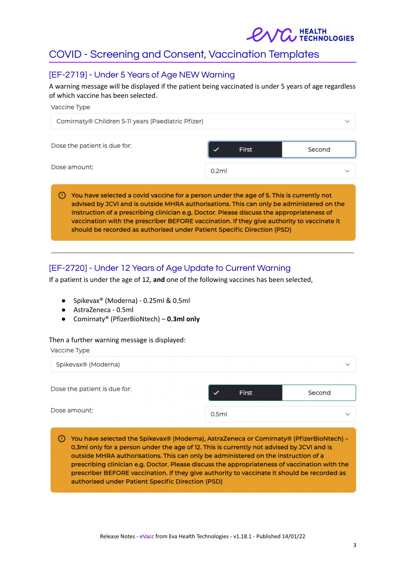

# COVID - Screening and Consent, Vaccination Templates

## [EF-2719] - Under 5 Years of Age NEW Warning

A warning message will be displayed if the patient being vaccinated is under 5 years of age regardless of which vaccine has been selected.

| Vaccine Type                                                                                                                                                                                                                                                                                                                                                                                                                                               |       |       |              |
|------------------------------------------------------------------------------------------------------------------------------------------------------------------------------------------------------------------------------------------------------------------------------------------------------------------------------------------------------------------------------------------------------------------------------------------------------------|-------|-------|--------------|
| Comirnaty® Children 5-11 years (Paediatric Pfizer)                                                                                                                                                                                                                                                                                                                                                                                                         |       |       | $\checkmark$ |
| Dose the patient is due for:                                                                                                                                                                                                                                                                                                                                                                                                                               |       | First | Second       |
| Dose amount:                                                                                                                                                                                                                                                                                                                                                                                                                                               | 0.2ml |       | $\checkmark$ |
| You have selected a covid vaccine for a person under the age of 5. This is currently not<br>advised by JCVI and is outside MHRA authorisations. This can only be administered on the<br>instruction of a prescribing clinician e.g. Doctor. Please discuss the appropriateness of<br>vaccination with the prescriber BEFORE vaccination. If they give authority to vaccinate it<br>should be recorded as authorised under Patient Specific Direction (PSD) |       |       |              |

## [EF-2720] - Under 12 Years of Age Update to Current Warning

If a patient is under the age of 12, **and** one of the following vaccines has been selected,

- Spikevax® (Moderna) 0.25ml & 0.5ml
- AstraZeneca 0.5ml
- Comirnaty® (PfizerBioNtech) **0.3ml only**

#### Then a further warning message is displayed:

Vaccine Type

| Spikevax® (Moderna)          |       |       | $\checkmark$ |  |
|------------------------------|-------|-------|--------------|--|
| Dose the patient is due for: |       | First | Second       |  |
| Dose amount:                 | 0.5ml |       | $\checkmark$ |  |

(1) You have selected the Spikevax® (Moderna), AstraZeneca or Comirnaty® (PfizerBioNtech) -0.3ml only for a person under the age of 12. This is currently not advised by JCVI and is outside MHRA authorisations. This can only be administered on the instruction of a prescribing clinician e.g. Doctor. Please discuss the appropriateness of vaccination with the prescriber BEFORE vaccination. If they give authority to vaccinate it should be recorded as authorised under Patient Specific Direction (PSD)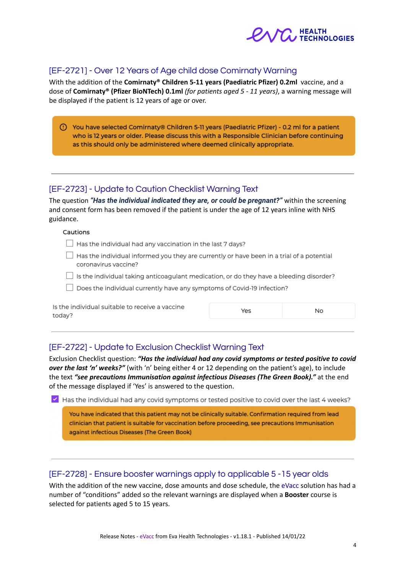

## [EF-2721] - Over 12 Years of Age child dose Comirnaty Warning

With the addition of the **Comirnaty® Children 5-11 years (Paediatric Pfizer) 0.2ml** vaccine, and a dose of **Comirnaty® (Pfizer BioNTech) 0.1ml** *(for patients aged 5 - 11 years)*, a warning message will be displayed if the patient is 12 years of age or over.

| (!) You have selected Comirnaty® Children 5-11 years (Paediatric Pfizer) - 0.2 ml for a patient |
|-------------------------------------------------------------------------------------------------|
| who is 12 years or older. Please discuss this with a Responsible Clinician before continuing    |
| as this should only be administered where deemed clinically appropriate.                        |

#### [EF-2723] - Update to Caution Checklist Warning Text

The question *"Has the individual indicated they are, or could be pregnant?"* within the screening and consent form has been removed if the patient is under the age of 12 years inline with NHS guidance.

#### Cautions

- Has the individual had any vaccination in the last 7 days?
- $\Box$  Has the individual informed you they are currently or have been in a trial of a potential coronavirus vaccine?
- $\Box$  Is the individual taking anticoagulant medication, or do they have a bleeding disorder?
- Does the individual currently have any symptoms of Covid-19 infection?

| Is the individual suitable to receive a vaccine<br>today? | Yes | No. |
|-----------------------------------------------------------|-----|-----|
|                                                           |     |     |

## [EF-2722] - Update to Exclusion Checklist Warning Text

Exclusion Checklist question: *"Has the individual had any covid symptoms or tested positive to covid over the last 'n' weeks?"* (with 'n' being either 4 or 12 depending on the patient's age), to include the text *"see precautions Immunisation against infectious Diseases (The Green Book)."* at the end of the message displayed if 'Yes' is answered to the question.

Y Has the individual had any covid symptoms or tested positive to covid over the last 4 weeks?

You have indicated that this patient may not be clinically suitable. Confirmation required from lead clinician that patient is suitable for vaccination before proceeding, see precautions Immunisation against infectious Diseases (The Green Book)

## [EF-2728] - Ensure booster warnings apply to applicable 5 -15 year olds

With the addition of the new vaccine, dose amounts and dose schedule, the eVacc solution has had a number of "conditions" added so the relevant warnings are displayed when a **Booster** course is selected for patients aged 5 to 15 years.